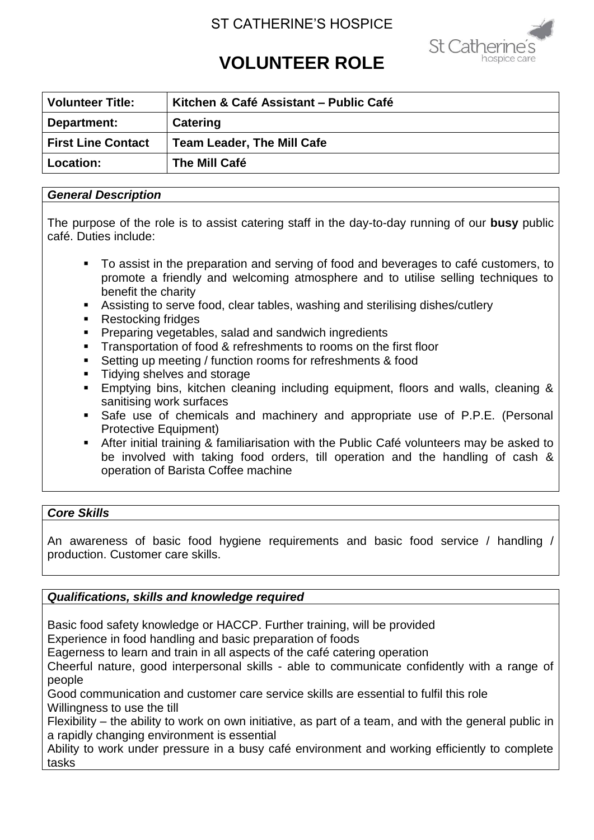# ST CATHERINE'S HOSPICE



# **VOLUNTEER ROLE**

| <b>Volunteer Title:</b>   | Kitchen & Café Assistant - Public Café |
|---------------------------|----------------------------------------|
| Department:               | <b>Catering</b>                        |
| <b>First Line Contact</b> | <b>Team Leader, The Mill Cafe</b>      |
| <b>Location:</b>          | The Mill Café                          |

#### *General Description*

The purpose of the role is to assist catering staff in the day-to-day running of our **busy** public café. Duties include:

- To assist in the preparation and serving of food and beverages to café customers, to promote a friendly and welcoming atmosphere and to utilise selling techniques to benefit the charity
- Assisting to serve food, clear tables, washing and sterilising dishes/cutlery
- Restocking fridges
- **Preparing vegetables, salad and sandwich ingredients**
- **Transportation of food & refreshments to rooms on the first floor**
- Setting up meeting / function rooms for refreshments & food
- **Tidying shelves and storage**
- **Emptying bins, kitchen cleaning including equipment, floors and walls, cleaning &** sanitising work surfaces
- Safe use of chemicals and machinery and appropriate use of P.P.E. (Personal Protective Equipment)
- After initial training & familiarisation with the Public Café volunteers may be asked to be involved with taking food orders, till operation and the handling of cash & operation of Barista Coffee machine

# *Core Skills*

An awareness of basic food hygiene requirements and basic food service / handling / production. Customer care skills.

# *Qualifications, skills and knowledge required*

Basic food safety knowledge or HACCP. Further training, will be provided

Experience in food handling and basic preparation of foods

Eagerness to learn and train in all aspects of the café catering operation

Cheerful nature, good interpersonal skills - able to communicate confidently with a range of people

Good communication and customer care service skills are essential to fulfil this role Willingness to use the till

Flexibility – the ability to work on own initiative, as part of a team, and with the general public in a rapidly changing environment is essential

Ability to work under pressure in a busy café environment and working efficiently to complete tasks